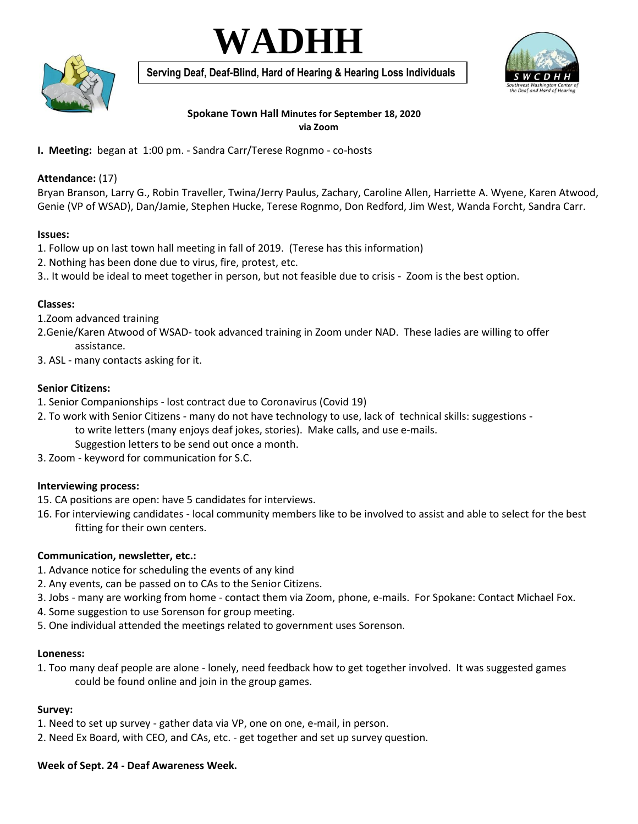# **WADHH**



**Serving Deaf, Deaf-Blind, Hard of Hearing & Hearing Loss Individuals**



## **Spokane Town Hall Minutes for September 18, 2020 via Zoom**

**I. Meeting:** began at 1:00 pm. - Sandra Carr/Terese Rognmo - co-hosts

# **Attendance:** (17)

Bryan Branson, Larry G., Robin Traveller, Twina/Jerry Paulus, Zachary, Caroline Allen, Harriette A. Wyene, Karen Atwood, Genie (VP of WSAD), Dan/Jamie, Stephen Hucke, Terese Rognmo, Don Redford, Jim West, Wanda Forcht, Sandra Carr.

#### **Issues:**

- 1. Follow up on last town hall meeting in fall of 2019. (Terese has this information)
- 2. Nothing has been done due to virus, fire, protest, etc.
- 3.. It would be ideal to meet together in person, but not feasible due to crisis Zoom is the best option.

## **Classes:**

- 1.Zoom advanced training
- 2.Genie/Karen Atwood of WSAD- took advanced training in Zoom under NAD. These ladies are willing to offer assistance.
- 3. ASL many contacts asking for it.

## **Senior Citizens:**

- 1. Senior Companionships lost contract due to Coronavirus (Covid 19)
- 2. To work with Senior Citizens many do not have technology to use, lack of technical skills: suggestions to write letters (many enjoys deaf jokes, stories). Make calls, and use e-mails.
	- Suggestion letters to be send out once a month.
- 3. Zoom keyword for communication for S.C.

# **Interviewing process:**

- 15. CA positions are open: have 5 candidates for interviews.
- 16. For interviewing candidates local community members like to be involved to assist and able to select for the best fitting for their own centers.

# **Communication, newsletter, etc.:**

- 1. Advance notice for scheduling the events of any kind
- 2. Any events, can be passed on to CAs to the Senior Citizens.
- 3. Jobs many are working from home contact them via Zoom, phone, e-mails. For Spokane: Contact Michael Fox.
- 4. Some suggestion to use Sorenson for group meeting.
- 5. One individual attended the meetings related to government uses Sorenson.

#### **Loneness:**

1. Too many deaf people are alone - lonely, need feedback how to get together involved. It was suggested games could be found online and join in the group games.

# **Survey:**

- 1. Need to set up survey gather data via VP, one on one, e-mail, in person.
- 2. Need Ex Board, with CEO, and CAs, etc. get together and set up survey question.

#### **Week of Sept. 24 - Deaf Awareness Week.**